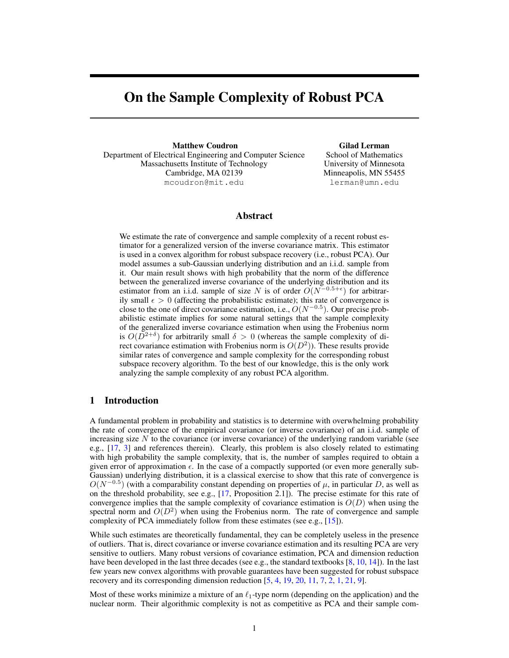# On the Sample Complexity of Robust PCA

Matthew Coudron Department of Electrical Engineering and Computer Science Massachusetts Institute of Technology Cambridge, MA 02139 mcoudron@mit.edu

Gilad Lerman School of Mathematics University of Minnesota Minneapolis, MN 55455 lerman@umn.edu

# Abstract

We estimate the rate of convergence and sample complexity of a recent robust estimator for a generalized version of the inverse covariance matrix. This estimator is used in a convex algorithm for robust subspace recovery (i.e., robust PCA). Our model assumes a sub-Gaussian underlying distribution and an i.i.d. sample from it. Our main result shows with high probability that the norm of the difference between the generalized inverse covariance of the underlying distribution and its estimator from an i.i.d. sample of size N is of order  $O(N^{-0.5+\epsilon})$  for arbitrarily small  $\epsilon > 0$  (affecting the probabilistic estimate); this rate of convergence is close to the one of direct covariance estimation, i.e.,  $O(N^{-0.5})$ . Our precise probabilistic estimate implies for some natural settings that the sample complexity of the generalized inverse covariance estimation when using the Frobenius norm is  $O(D^{2+\delta})$  for arbitrarily small  $\delta > 0$  (whereas the sample complexity of direct covariance estimation with Frobenius norm is  $O(D^2)$ ). These results provide similar rates of convergence and sample complexity for the corresponding robust subspace recovery algorithm. To the best of our knowledge, this is the only work analyzing the sample complexity of any robust PCA algorithm.

# 1 Introduction

A fundamental problem in probability and statistics is to determine with overwhelming probability the rate of convergence of the empirical covariance (or inverse covariance) of an i.i.d. sample of increasing size  $N$  to the covariance (or inverse covariance) of the underlying random variable (see e.g., [17, 3] and references therein). Clearly, this problem is also closely related to estimating with high probability the sample complexity, that is, the number of samples required to obtain a given error of approximation  $\epsilon$ . In the case of a compactly supported (or even more generally sub-Gaussian) underlying distribution, it is a classical exercise to show that this rate of convergence is  $O(N^{-0.5})$  (with a comparability constant depending on properties of  $\mu$ , in particular D, as well as on the threshold probability, see e.g.,  $[17,$  Proposition 2.1]). The precise estimate for this rate of convergence implies that the sample complexity of covariance estimation is  $O(D)$  when using the spectral norm and  $O(D^2)$  when using the Frobenius norm. The rate of convergence and sample complexity of PCA immediately follow from these estimates (see e.g., [15]).

While such estimates are theoretically fundamental, they can be completely useless in the presence of outliers. That is, direct covariance or inverse covariance estimation and its resulting PCA are very sensitive to outliers. Many robust versions of covariance estimation, PCA and dimension reduction have been developed in the last three decades (see e.g., the standard textbooks [8, 10, 14]). In the last few years new convex algorithms with provable guarantees have been suggested for robust subspace recovery and its corresponding dimension reduction [5, 4, 19, 20, 11, 7, 2, 1, 21, 9].

Most of these works minimize a mixture of an  $\ell_1$ -type norm (depending on the application) and the nuclear norm. Their algorithmic complexity is not as competitive as PCA and their sample com-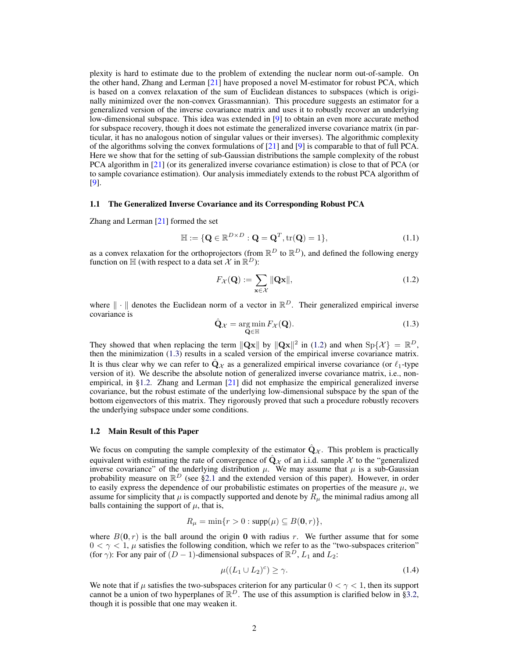plexity is hard to estimate due to the problem of extending the nuclear norm out-of-sample. On the other hand, Zhang and Lerman [21] have proposed a novel M-estimator for robust PCA, which is based on a convex relaxation of the sum of Euclidean distances to subspaces (which is originally minimized over the non-convex Grassmannian). This procedure suggests an estimator for a generalized version of the inverse covariance matrix and uses it to robustly recover an underlying low-dimensional subspace. This idea was extended in [9] to obtain an even more accurate method for subspace recovery, though it does not estimate the generalized inverse covariance matrix (in particular, it has no analogous notion of singular values or their inverses). The algorithmic complexity of the algorithms solving the convex formulations of  $[21]$  and  $[9]$  is comparable to that of full PCA. Here we show that for the setting of sub-Gaussian distributions the sample complexity of the robust PCA algorithm in [21] (or its generalized inverse covariance estimation) is close to that of PCA (or to sample covariance estimation). Our analysis immediately extends to the robust PCA algorithm of [9].

## 1.1 The Generalized Inverse Covariance and its Corresponding Robust PCA

Zhang and Lerman [21] formed the set

$$
\mathbb{H} := \{ \mathbf{Q} \in \mathbb{R}^{D \times D} : \mathbf{Q} = \mathbf{Q}^T, \text{tr}(\mathbf{Q}) = 1 \},\tag{1.1}
$$

as a convex relaxation for the orthoprojectors (from  $\mathbb{R}^D$  to  $\mathbb{R}^D$ ), and defined the following energy function on  $\mathbb H$  (with respect to a data set X in  $\mathbb R^D$ ):

$$
F_{\mathcal{X}}(\mathbf{Q}) := \sum_{\mathbf{x} \in \mathcal{X}} \|\mathbf{Q}\mathbf{x}\|,\tag{1.2}
$$

where  $\|\cdot\|$  denotes the Euclidean norm of a vector in  $\mathbb{R}^D$ . Their generalized empirical inverse covariance is

$$
\hat{\mathbf{Q}}_{\mathcal{X}} = \underset{\mathbf{Q} \in \mathbb{H}}{\arg \min} F_{\mathcal{X}}(\mathbf{Q}).\tag{1.3}
$$

They showed that when replacing the term  $\|\mathbf{Qx}\|$  by  $\|\mathbf{Qx}\|^2$  in (1.2) and when  $\text{Sp}\{\mathcal{X}\} = \mathbb{R}^D$ , then the minimization (1.3) results in a scaled version of the empirical inverse covariance matrix. It is thus clear why we can refer to  $\mathbf{Q}_{\mathcal{X}}$  as a generalized empirical inverse covariance (or  $\ell_1$ -type version of it). We describe the absolute notion of generalized inverse covariance matrix, i.e., nonempirical, in §1.2. Zhang and Lerman [21] did not emphasize the empirical generalized inverse covariance, but the robust estimate of the underlying low-dimensional subspace by the span of the bottom eigenvectors of this matrix. They rigorously proved that such a procedure robustly recovers the underlying subspace under some conditions.

#### 1.2 Main Result of this Paper

We focus on computing the sample complexity of the estimator  $\hat{Q}_{\chi}$ . This problem is practically equivalent with estimating the rate of convergence of  $\hat{Q}_X$  of an i.i.d. sample X to the "generalized inverse covariance" of the underlying distribution  $\mu$ . We may assume that  $\mu$  is a sub-Gaussian probability measure on  $\mathbb{R}^D$  (see §2.1 and the extended version of this paper). However, in order to easily express the dependence of our probabilistic estimates on properties of the measure  $\mu$ , we assume for simplicity that  $\mu$  is compactly supported and denote by  $R_{\mu}$  the minimal radius among all balls containing the support of  $\mu$ , that is,

$$
R_{\mu} = \min\{r > 0 : \text{supp}(\mu) \subseteq B(\mathbf{0}, r)\},
$$

where  $B(0, r)$  is the ball around the origin 0 with radius r. We further assume that for some  $0 < \gamma < 1$ ,  $\mu$  satisfies the following condition, which we refer to as the "two-subspaces criterion" (for  $\gamma$ ): For any pair of  $(D-1)$ -dimensional subspaces of  $\mathbb{R}^D$ ,  $L_1$  and  $L_2$ :

$$
\mu((L_1 \cup L_2)^c) \ge \gamma. \tag{1.4}
$$

We note that if  $\mu$  satisfies the two-subspaces criterion for any particular  $0 < \gamma < 1$ , then its support cannot be a union of two hyperplanes of  $\mathbb{R}^D$ . The use of this assumption is clarified below in §3.2, though it is possible that one may weaken it.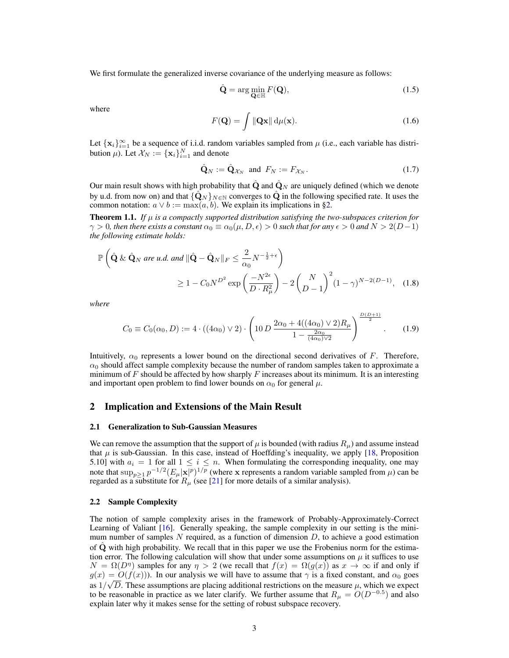We first formulate the generalized inverse covariance of the underlying measure as follows:

$$
\hat{\mathbf{Q}} = \arg\min_{\mathbf{Q} \in \mathbb{H}} F(\mathbf{Q}),\tag{1.5}
$$

where

$$
F(\mathbf{Q}) = \int \|\mathbf{Q}\mathbf{x}\| \, \mathrm{d}\mu(\mathbf{x}).\tag{1.6}
$$

Let  $\{x_i\}_{i=1}^{\infty}$  be a sequence of i.i.d. random variables sampled from  $\mu$  (i.e., each variable has distribution  $\mu$ ). Let  $\mathcal{X}_N := {\mathbf{x}_i}_{i=1}^N$  and denote

$$
\hat{\mathbf{Q}}_N := \hat{\mathbf{Q}}_{\mathcal{X}_N} \text{ and } F_N := F_{\mathcal{X}_N}.\tag{1.7}
$$

Our main result shows with high probability that  $\hat{Q}$  and  $\hat{Q}_N$  are uniquely defined (which we denote by u.d. from now on) and that  $\{\hat{\mathbf{Q}}_N\}_{N\in\mathbb{N}}$  converges to  $\hat{\mathbf{Q}}$  in the following specified rate. It uses the common notation:  $a \lor b := \max(a, b)$ . We explain its implications in §2.

**Theorem 1.1.** *If*  $\mu$  *is a compactly supported distribution satisfying the two-subspaces criterion for*  $\gamma > 0$ , then there exists a constant  $\alpha_0 \equiv \alpha_0(\mu, D, \epsilon) > 0$  such that for any  $\epsilon > 0$  and  $N > 2(D-1)$ *the following estimate holds:*

$$
\mathbb{P}\left(\hat{\mathbf{Q}} \& \hat{\mathbf{Q}}_N \text{ are } u.d. \text{ and } \|\hat{\mathbf{Q}} - \hat{\mathbf{Q}}_N\|_F \le \frac{2}{\alpha_0} N^{-\frac{1}{2} + \epsilon}\right)
$$
  
\n
$$
\ge 1 - C_0 N^{D^2} \exp\left(\frac{-N^{2\epsilon}}{D \cdot R_\mu^2}\right) - 2\left(\frac{N}{D-1}\right)^2 (1-\gamma)^{N-2(D-1)}, \quad (1.8)
$$

*where*

$$
C_0 \equiv C_0(\alpha_0, D) := 4 \cdot ((4\alpha_0) \vee 2) \cdot \left(10 D \frac{2\alpha_0 + 4((4\alpha_0) \vee 2)R_\mu}{1 - \frac{2\alpha_0}{(4\alpha_0)\vee 2}}\right)^{\frac{D(D+1)}{2}}.
$$
 (1.9)

Intuitively,  $\alpha_0$  represents a lower bound on the directional second derivatives of F. Therefore,  $\alpha_0$  should affect sample complexity because the number of random samples taken to approximate a minimum of F should be affected by how sharply F increases about its minimum. It is an interesting and important open problem to find lower bounds on  $\alpha_0$  for general  $\mu$ .

## 2 Implication and Extensions of the Main Result

#### 2.1 Generalization to Sub-Gaussian Measures

We can remove the assumption that the support of  $\mu$  is bounded (with radius  $R_{\mu}$ ) and assume instead that  $\mu$  is sub-Gaussian. In this case, instead of Hoeffding's inequality, we apply [18, Proposition 5.10] with  $a_i = 1$  for all  $1 \le i \le n$ . When formulating the corresponding inequality, one may note that  $\sup_{p\geq 1} p^{-1/2} (E_\mu |x|^p)^{1/p}$  (where x represents a random variable sampled from  $\mu$ ) can be regarded as a substitute for  $R_{\mu}$  (see [21] for more details of a similar analysis).

## 2.2 Sample Complexity

The notion of sample complexity arises in the framework of Probably-Approximately-Correct Learning of Valiant [16]. Generally speaking, the sample complexity in our setting is the minimum number of samples  $N$  required, as a function of dimension  $D$ , to achieve a good estimation of  $\hat{Q}$  with high probability. We recall that in this paper we use the Frobenius norm for the estimation error. The following calculation will show that under some assumptions on  $\mu$  it suffices to use  $N = \Omega(D^{\eta})$  samples for any  $\eta > 2$  (we recall that  $f(x) = \Omega(g(x))$  as  $x \to \infty$  if and only if  $g(x) = O(f(x))$ ). In our analysis we will have to assume that  $\gamma$  is a fixed constant, and  $\alpha_0$  goes as  $1/\sqrt{D}$ . These assumptions are placing additional restrictions on the measure  $\mu$ , which we expect to be reasonable in practice as we later clarify. We further assume that  $R_{\mu} = O(D^{-0.5})$  and also explain later why it makes sense for the setting of robust subspace recovery.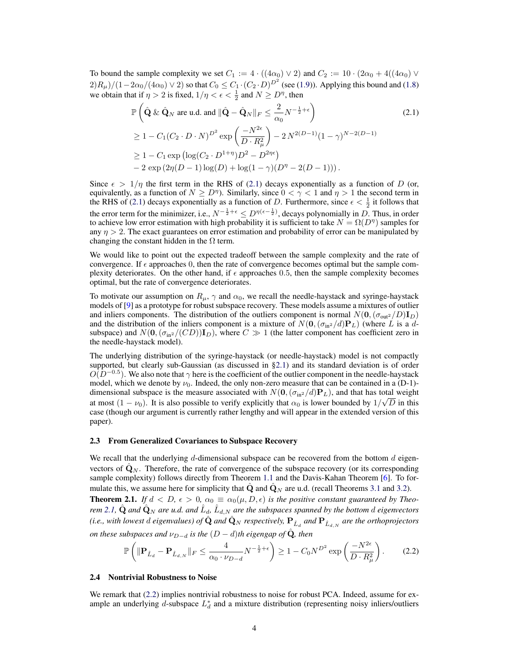To bound the sample complexity we set  $C_1 := 4 \cdot ((4\alpha_0) \vee 2)$  and  $C_2 := 10 \cdot (2\alpha_0 + 4((4\alpha_0) \vee 2))$  $(2)R_\mu)/(1-2\alpha_0/(4\alpha_0)\vee 2)$  so that  $C_0\leq C_1\cdot (C_2\cdot D)^{D^2}$  (see (1.9)). Applying this bound and (1.8) we obtain that if  $\eta > 2$  is fixed,  $1/\eta < \epsilon < \frac{1}{2}$  and  $N \ge D^{\eta}$ , then

$$
\mathbb{P}\left(\hat{\mathbf{Q}} \& \hat{\mathbf{Q}}_{N} \text{ are u.d. and } \|\hat{\mathbf{Q}} - \hat{\mathbf{Q}}_{N}\|_{F} \leq \frac{2}{\alpha_{0}} N^{-\frac{1}{2}+\epsilon}\right)
$$
(2.1)  
\n
$$
\geq 1 - C_{1}(C_{2} \cdot D \cdot N)^{D^{2}} \exp\left(\frac{-N^{2\epsilon}}{D \cdot R_{\mu}^{2}}\right) - 2 N^{2(D-1)} (1 - \gamma)^{N-2(D-1)}
$$
  
\n
$$
\geq 1 - C_{1} \exp\left(\log(C_{2} \cdot D^{1+\eta}) D^{2} - D^{2\eta\epsilon}\right)
$$
  
\n
$$
- 2 \exp(2\eta(D-1)\log(D) + \log(1-\gamma)(D^{\eta} - 2(D-1))).
$$

Since  $\epsilon > 1/\eta$  the first term in the RHS of (2.1) decays exponentially as a function of D (or, equivalently, as a function of  $N \geq D^{\eta}$ ). Similarly, since  $0 < \gamma < 1$  and  $\eta > 1$  the second term in the RHS of (2.1) decays exponentially as a function of D. Furthermore, since  $\epsilon < \frac{1}{2}$  it follows that the error term for the minimizer, i.e.,  $N^{-\frac{1}{2}+\epsilon} \leq D^{\eta(\epsilon-\frac{1}{2})}$ , decays polynomially in D. Thus, in order to achieve low error estimation with high probability it is sufficient to take  $N = \Omega(D^{\eta})$  samples for any  $\eta > 2$ . The exact guarantees on error estimation and probability of error can be manipulated by changing the constant hidden in the  $\Omega$  term.

We would like to point out the expected tradeoff between the sample complexity and the rate of convergence. If  $\epsilon$  approaches 0, then the rate of convergence becomes optimal but the sample complexity deteriorates. On the other hand, if  $\epsilon$  approaches 0.5, then the sample complexity becomes optimal, but the rate of convergence deteriorates.

To motivate our assumption on  $R_{\mu}$ ,  $\gamma$  and  $\alpha_0$ , we recall the needle-haystack and syringe-haystack models of [9] as a prototype for robust subspace recovery. These models assume a mixtures of outlier and inliers components. The distribution of the outliers component is normal  $N(\mathbf{0},(\sigma_{\text{out2}}/D)\mathbf{I}_D)$ and the distribution of the inliers component is a mixture of  $N(\mathbf{0},(\sigma_{\text{in2}}/d)\mathbf{P}_L)$  (where L is a dsubspace) and  $N(\mathbf{0},(\sigma_{\text{in}^2}/(CD))\mathbf{I}_D)$ , where  $C \gg 1$  (the latter component has coefficient zero in the needle-haystack model).

The underlying distribution of the syringe-haystack (or needle-haystack) model is not compactly supported, but clearly sub-Gaussian (as discussed in §2.1) and its standard deviation is of order  $O(D^{-0.5})$ . We also note that  $\gamma$  here is the coefficient of the outlier component in the needle-haystack model, which we denote by  $\nu_0$ . Indeed, the only non-zero measure that can be contained in a (D-1)dimensional subspace is the measure associated with  $N(\mathbf{0},(\sigma_{\text{in}^2}/d)\mathbf{P}_L)$ , and that has total weight at most  $(1 - \nu_0)$ . It is also possible to verify explicitly that  $\alpha_0$  is lower bounded by  $1/\sqrt{D}$  in this case (though our argument is currently rather lengthy and will appear in the extended version of this paper).

#### 2.3 From Generalized Covariances to Subspace Recovery

We recall that the underlying d-dimensional subspace can be recovered from the bottom  $d$  eigenvectors of  $\mathbf{Q}_N$ . Therefore, the rate of convergence of the subspace recovery (or its corresponding sample complexity) follows directly from Theorem 1.1 and the Davis-Kahan Theorem [6]. To formulate this, we assume here for simplicity that  $\mathbf Q$  and  $\mathbf Q_N$  are u.d. (recall Theorems 3.1 and 3.2). **Theorem 2.1.** If  $d < D$ ,  $\epsilon > 0$ ,  $\alpha_0 \equiv \alpha_0(\mu, D, \epsilon)$  is the positive constant guaranteed by Theo*rem* 2.1,  $\hat{\bf Q}$  and  $\hat{\bf Q}_N$  are u.d. and  $\hat{L}_d$ ,  $\hat{L}_{d,N}$  are the subspaces spanned by the bottom  $d$  eigenvectors (i.e., with lowest  $d$  eigenvalues) of  $\hat{\bf Q}$  and  $\hat{\bf Q}_N$  respectively,  ${\bf P}_{\hat L_d}$  and  ${\bf P}_{\hat L_{d,N}}$  are the orthoprojectors

*on these subspaces and*  $\nu_{D-d}$  *is the*  $(D-d)$ *th eigengap of*  $\hat{Q}$ *, then*  $\sqrt{ }$ 4  $\setminus$  $-N^{2\epsilon}$ 

$$
\mathbb{P}\left(\|\mathbf{P}_{\hat{L}_d} - \mathbf{P}_{\hat{L}_{d,N}}\|_F \le \frac{4}{\alpha_0 \cdot \nu_{D-d}} N^{-\frac{1}{2}+\epsilon}\right) \ge 1 - C_0 N^{D^2} \exp\left(\frac{-N^{2\epsilon}}{D \cdot R^2_{\mu}}\right). \tag{2.2}
$$

#### 2.4 Nontrivial Robustness to Noise

We remark that (2.2) implies nontrivial robustness to noise for robust PCA. Indeed, assume for example an underlying  $d$ -subspace  $L_d^*$  and a mixture distribution (representing noisy inliers/outliers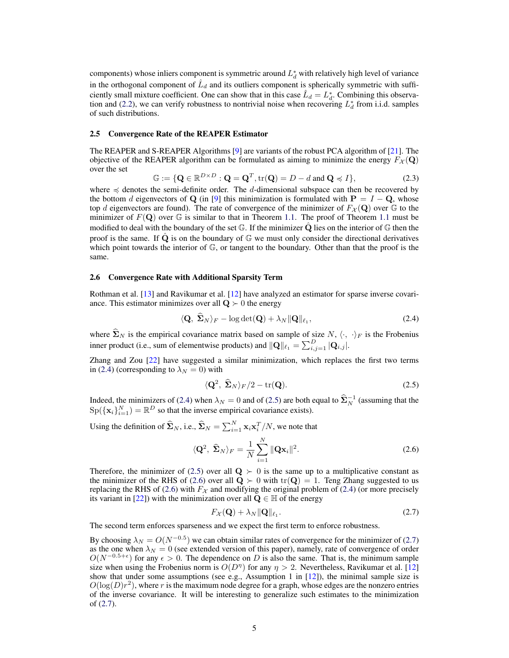components) whose inliers component is symmetric around  $L_d^*$  with relatively high level of variance in the orthogonal component of  $\hat{L}_d$  and its outliers component is spherically symmetric with sufficiently small mixture coefficient. One can show that in this case  $\hat{L}_d = L_d^*$ . Combining this observation and (2.2), we can verify robustness to nontrivial noise when recovering  $L_d^*$  from i.i.d. samples of such distributions.

### 2.5 Convergence Rate of the REAPER Estimator

The REAPER and S-REAPER Algorithms [9] are variants of the robust PCA algorithm of [21]. The objective of the REAPER algorithm can be formulated as aiming to minimize the energy  $F_{\mathcal{X}}(Q)$ over the set

$$
\mathbb{G} := \{ \mathbf{Q} \in \mathbb{R}^{D \times D} : \mathbf{Q} = \mathbf{Q}^T, \text{tr}(\mathbf{Q}) = D - d \text{ and } \mathbf{Q} \preccurlyeq I \},\tag{2.3}
$$

where  $\preccurlyeq$  denotes the semi-definite order. The d-dimensional subspace can then be recovered by the bottom d eigenvectors of Q (in [9] this minimization is formulated with  $P = I - Q$ , whose top d eigenvectors are found). The rate of convergence of the minimizer of  $F_{\mathcal{X}}(Q)$  over  $\mathbb{G}$  to the minimizer of  $F(\mathbf{Q})$  over  $\mathbb{G}$  is similar to that in Theorem 1.1. The proof of Theorem 1.1 must be modified to deal with the boundary of the set  $\mathbb{G}$ . If the minimizer  $\hat{\mathbf{Q}}$  lies on the interior of  $\mathbb{G}$  then the proof is the same. If  $\dot{Q}$  is on the boundary of  $\mathbb{G}$  we must only consider the directional derivatives which point towards the interior of G, or tangent to the boundary. Other than that the proof is the same.

#### 2.6 Convergence Rate with Additional Sparsity Term

Rothman et al. [13] and Ravikumar et al. [12] have analyzed an estimator for sparse inverse covariance. This estimator minimizes over all  $\mathbf{Q} \succ 0$  the energy

$$
\langle \mathbf{Q}, \ \boldsymbol{\Sigma}_N \rangle_F - \log \det(\mathbf{Q}) + \lambda_N \|\mathbf{Q}\|_{\ell_1},\tag{2.4}
$$

where  $\hat{\Sigma}_N$  is the empirical covariance matrix based on sample of size  $N, \langle \cdot, \cdot \rangle_F$  is the Frobenius inner product (i.e., sum of elementwise products) and  $\|\mathbf{Q}\|_{\ell_1} = \sum_{i,j=1}^D |\mathbf{Q}_{i,j}|$ .

Zhang and Zou [22] have suggested a similar minimization, which replaces the first two terms in (2.4) (corresponding to  $\lambda_N = 0$ ) with

$$
\langle \mathbf{Q}^2, \ \hat{\Sigma}_N \rangle_F/2 - \text{tr}(\mathbf{Q}). \tag{2.5}
$$

Indeed, the minimizers of (2.4) when  $\lambda_N = 0$  and of (2.5) are both equal to  $\widehat{\Sigma}_N^{-1}$  (assuming that the  $\text{Sp}(\{\mathbf{x}_i\}_{i=1}^N) = \mathbb{R}^D$  so that the inverse empirical covariance exists).

Using the definition of  $\widehat{\Sigma}_N$ , i.e.,  $\widehat{\Sigma}_N = \sum_{i=1}^N \mathbf{x}_i \mathbf{x}_i^T/N$ , we note that

$$
\langle \mathbf{Q}^2, \ \hat{\mathbf{\Sigma}}_N \rangle_F = \frac{1}{N} \sum_{i=1}^N \|\mathbf{Q} \mathbf{x}_i\|^2.
$$
 (2.6)

Therefore, the minimizer of (2.5) over all  $\mathbf{Q} \succ 0$  is the same up to a multiplicative constant as the minimizer of the RHS of (2.6) over all  $\mathbf{Q} \succ 0$  with tr( $\mathbf{Q}$ ) = 1. Teng Zhang suggested to us replacing the RHS of (2.6) with  $F_{\mathcal{X}}$  and modifying the original problem of (2.4) (or more precisely its variant in [22]) with the minimization over all  $Q \in \mathbb{H}$  of the energy

$$
F_{\mathcal{X}}(\mathbf{Q}) + \lambda_N \|\mathbf{Q}\|_{\ell_1}.\tag{2.7}
$$

The second term enforces sparseness and we expect the first term to enforce robustness.

By choosing  $\lambda_N = O(N^{-0.5})$  we can obtain similar rates of convergence for the minimizer of (2.7) as the one when  $\lambda_N = 0$  (see extended version of this paper), namely, rate of convergence of order  $O(N^{-0.5+\epsilon})$  for any  $\epsilon > 0$ . The dependence on D is also the same. That is, the minimum sample size when using the Frobenius norm is  $O(D^{\eta})$  for any  $\eta > 2$ . Nevertheless, Ravikumar et al. [12] show that under some assumptions (see e.g., Assumption 1 in  $[12]$ ), the minimal sample size is  $O(\log(D)r^2)$ , where r is the maximum node degree for a graph, whose edges are the nonzero entries of the inverse covariance. It will be interesting to generalize such estimates to the minimization of (2.7).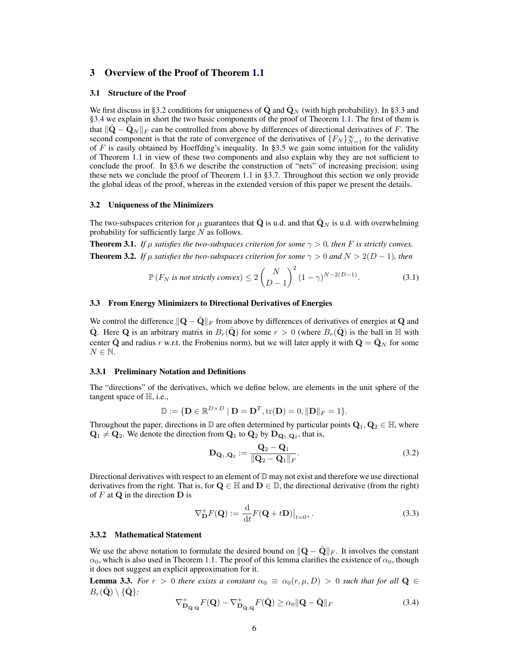# 3 Overview of the Proof of Theorem 1.1

#### 3.1 Structure of the Proof

We first discuss in §3.2 conditions for uniqueness of  $\hat{Q}$  and  $\hat{Q}_N$  (with high probability). In §3.3 and §3.4 we explain in short the two basic components of the proof of Theorem 1.1. The first of them is that  $\|\mathbf{Q} - \mathbf{Q}_N\|_F$  can be controlled from above by differences of directional derivatives of F. The second component is that the rate of convergence of the derivatives of  $\{F_N\}_{N=1}^\infty$  to the derivative of  $F$  is easily obtained by Hoeffding's inequality. In §3.5 we gain some intuition for the validity of Theorem 1.1 in view of these two components and also explain why they are not sufficient to conclude the proof. In §3.6 we describe the construction of "nets" of increasing precision; using these nets we conclude the proof of Theorem 1.1 in §3.7. Throughout this section we only provide the global ideas of the proof, whereas in the extended version of this paper we present the details.

#### 3.2 Uniqueness of the Minimizers

The two-subspaces criterion for  $\mu$  guarantees that  $\hat{\mathbf{Q}}$  is u.d. and that  $\hat{\mathbf{Q}}_N$  is u.d. with overwhelming probability for sufficiently large  $N$  as follows.

**Theorem 3.1.** *If*  $\mu$  *satisfies the two-subspaces criterion for some*  $\gamma > 0$ *, then F is strictly convex.* **Theorem 3.2.** *If*  $\mu$  *satisfies the two-subspaces criterion for some*  $\gamma > 0$  *and*  $N > 2(D - 1)$ *, then* 

$$
\mathbb{P}\left(F_N \text{ is not strictly convex}\right) \le 2\binom{N}{D-1}^2(1-\gamma)^{N-2(D-1)}.\tag{3.1}
$$

## 3.3 From Energy Minimizers to Directional Derivatives of Energies

We control the difference  $\|\mathbf{Q} - \hat{\mathbf{Q}}\|_F$  from above by differences of derivatives of energies at Q and Q. Here Q is an arbitrary matrix in  $B_r(Q)$  for some  $r > 0$  (where  $B_r(Q)$ ) is the ball in H with center  $\hat{\mathbf{Q}}$  and radius r w.r.t. the Frobenius norm), but we will later apply it with  $\mathbf{Q} = \hat{\mathbf{Q}}_N$  for some  $N \in \mathbb{N}$ .

#### 3.3.1 Preliminary Notation and Definitions

The "directions" of the derivatives, which we define below, are elements in the unit sphere of the tangent space of H, i.e.,

$$
\mathbb{D} := \{ \mathbf{D} \in \mathbb{R}^{D \times D} \mid \mathbf{D} = \mathbf{D}^T, \text{tr}(\mathbf{D}) = 0, \|\mathbf{D}\|_F = 1 \}.
$$

Throughout the paper, directions in  $\mathbb D$  are often determined by particular points  $Q_1, Q_2 \in \mathbb H$ , where  $\mathbf{Q}_1 \neq \mathbf{Q}_2$ . We denote the direction from  $\mathbf{Q}_1$  to  $\mathbf{Q}_2$  by  $\mathbf{D}_{\mathbf{Q}_1,\mathbf{Q}_2}$ , that is,

$$
\mathbf{D}_{\mathbf{Q}_1, \mathbf{Q}_2} := \frac{\mathbf{Q}_2 - \mathbf{Q}_1}{\|\mathbf{Q}_2 - \mathbf{Q}_1\|_F}.
$$
 (3.2)

Directional derivatives with respect to an element of  $D$  may not exist and therefore we use directional derivatives from the right. That is, for  $Q \in \mathbb{H}$  and  $D \in \mathbb{D}$ , the directional derivative (from the right) of  $F$  at  $Q$  in the direction  $D$  is

$$
\nabla_{\mathbf{D}}^{+} F(\mathbf{Q}) := \frac{\mathrm{d}}{\mathrm{d}t} F(\mathbf{Q} + t\mathbf{D}) \big|_{t=0^+}.
$$
 (3.3)

#### 3.3.2 Mathematical Statement

We use the above notation to formulate the desired bound on  $\|\mathbf{Q} - \mathbf{Q}\|_F$ . It involves the constant  $\alpha_0$ , which is also used in Theorem 1.1. The proof of this lemma clarifies the existence of  $\alpha_0$ , though it does not suggest an explicit approximation for it.

**Lemma 3.3.** For  $r > 0$  there exists a constant  $\alpha_0 \equiv \alpha_0(r, \mu, D) > 0$  such that for all  $Q \in$  $B_r(\hat{\mathbf{Q}}) \setminus \{\hat{\mathbf{Q}}\}$ .

$$
\nabla^+_{\mathbf{D}_{\mathbf{Q},\mathbf{Q}}} F(\mathbf{Q}) - \nabla^+_{\mathbf{D}_{\mathbf{Q},\mathbf{Q}}} F(\hat{\mathbf{Q}}) \ge \alpha_0 \|\mathbf{Q} - \hat{\mathbf{Q}}\|_F \tag{3.4}
$$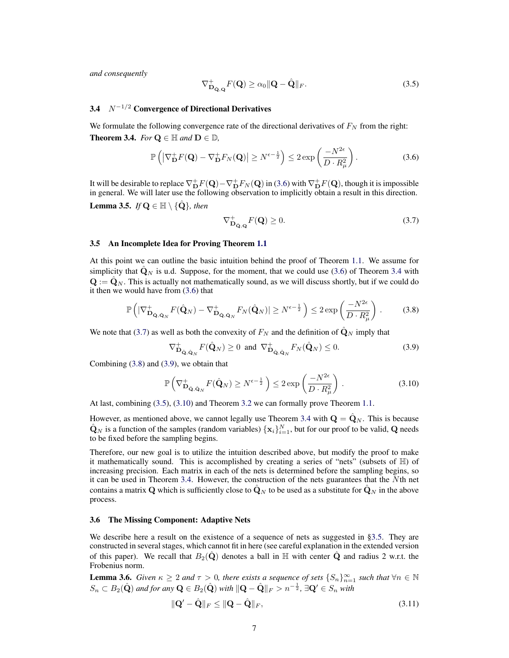*and consequently*

$$
\nabla^+_{\mathbf{D}_{\dot{\mathbf{Q}},\mathbf{Q}}}F(\mathbf{Q}) \ge \alpha_0 \|\mathbf{Q} - \hat{\mathbf{Q}}\|_F. \tag{3.5}
$$

## 3.4  $N^{-1/2}$  Convergence of Directional Derivatives

We formulate the following convergence rate of the directional derivatives of  $F_N$  from the right: **Theorem 3.4.** *For*  $Q \in \mathbb{H}$  *and*  $D \in \mathbb{D}$ *,* 

$$
\mathbb{P}\left(\left|\nabla_{\mathbf{D}}^{+}F(\mathbf{Q})-\nabla_{\mathbf{D}}^{+}F_{N}(\mathbf{Q})\right|\geq N^{\epsilon-\frac{1}{2}}\right)\leq 2\exp\left(\frac{-N^{2\epsilon}}{D\cdot R_{\mu}^{2}}\right).
$$
\n(3.6)

It will be desirable to replace  $\nabla^+_{{\bf D}}F({\bf Q})-\nabla^+_{{\bf D}}F_N({\bf Q})$  in (3.6) with  $\nabla^+_{{\bf D}}F({\bf Q})$ , though it is impossible in general. We will later use the following observation to implicitly obtain a result in this direction.

**Lemma 3.5.** *If*  $\mathbf{Q} \in \mathbb{H} \setminus \{ \mathbf{Q} \}$ *, then* 

$$
\nabla^+_{\mathbf{D}_{\hat{\mathbf{Q}},\mathbf{Q}}}F(\mathbf{Q}) \ge 0. \tag{3.7}
$$

## 3.5 An Incomplete Idea for Proving Theorem 1.1

At this point we can outline the basic intuition behind the proof of Theorem 1.1. We assume for simplicity that  $\mathbf{Q}_N$  is u.d. Suppose, for the moment, that we could use (3.6) of Theorem 3.4 with  ${\bf Q} := \hat{\bf Q}_N$ . This is actually not mathematically sound, as we will discuss shortly, but if we could do it then we would have from (3.6) that

$$
\mathbb{P}\left(|\nabla^+_{\mathbf{D}_{\hat{\mathbf{Q}},\hat{\mathbf{Q}}_N}}F(\hat{\mathbf{Q}}_N)-\nabla^+_{\mathbf{D}_{\hat{\mathbf{Q}},\hat{\mathbf{Q}}_N}}F_N(\hat{\mathbf{Q}}_N)|\geq N^{\epsilon-\frac{1}{2}}\right)\leq 2\exp\left(\frac{-N^{2\epsilon}}{D\cdot R^2_{\mu}}\right).
$$
 (3.8)

We note that (3.7) as well as both the convexity of  $F_N$  and the definition of  $\hat{Q}_N$  imply that

$$
\nabla^+_{\mathbf{D}_{\hat{\mathbf{Q}}, \hat{\mathbf{Q}}_N}} F(\hat{\mathbf{Q}}_N) \ge 0 \text{ and } \nabla^+_{\mathbf{D}_{\hat{\mathbf{Q}}, \hat{\mathbf{Q}}_N}} F_N(\hat{\mathbf{Q}}_N) \le 0. \tag{3.9}
$$

Combining (3.8) and (3.9), we obtain that

$$
\mathbb{P}\left(\nabla^+_{\mathbf{D}_{\hat{\mathbf{Q}}, \hat{\mathbf{Q}}_N}} F(\hat{\mathbf{Q}}_N) \ge N^{\epsilon - \frac{1}{2}}\right) \le 2 \exp\left(\frac{-N^{2\epsilon}}{D \cdot R^2_{\mu}}\right). \tag{3.10}
$$

At last, combining (3.5), (3.10) and Theorem 3.2 we can formally prove Theorem 1.1.

However, as mentioned above, we cannot legally use Theorem 3.4 with  $\mathbf{Q} = \hat{\mathbf{Q}}_N$ . This is because  $\hat{\mathbf{Q}}_N$  is a function of the samples (random variables)  $\{\mathbf{x}_i\}_{i=1}^N$ , but for our proof to be valid, Q needs to be fixed before the sampling begins.

Therefore, our new goal is to utilize the intuition described above, but modify the proof to make it mathematically sound. This is accomplished by creating a series of "nets" (subsets of H) of increasing precision. Each matrix in each of the nets is determined before the sampling begins, so it can be used in Theorem 3.4. However, the construction of the nets guarantees that the Nth net contains a matrix Q which is sufficiently close to  $\mathbf{Q}_N$  to be used as a substitute for  $\mathbf{Q}_N$  in the above process.

## 3.6 The Missing Component: Adaptive Nets

We describe here a result on the existence of a sequence of nets as suggested in §3.5. They are constructed in several stages, which cannot fit in here (see careful explanation in the extended version of this paper). We recall that  $B_2(Q)$  denotes a ball in  $\mathbb H$  with center  $Q$  and radius 2 w.r.t. the Frobenius norm.

**Lemma 3.6.** *Given*  $\kappa \geq 2$  *and*  $\tau > 0$ *, there exists a sequence of sets*  $\{S_n\}_{n=1}^{\infty}$  *such that*  $\forall n \in \mathbb{N}$  $S_n\subset B_2(\hat{\bf Q})$  and for any  ${\bf Q}\in B_2(\hat{\bf Q})$  with  $\|{\bf Q}-\hat{\bf Q}\|_F>n^{-\frac{1}{2}}$ ,  $\exists {\bf Q}'\in S_n$  with

$$
\|\mathbf{Q}' - \hat{\mathbf{Q}}\|_{F} \le \|\mathbf{Q} - \hat{\mathbf{Q}}\|_{F},\tag{3.11}
$$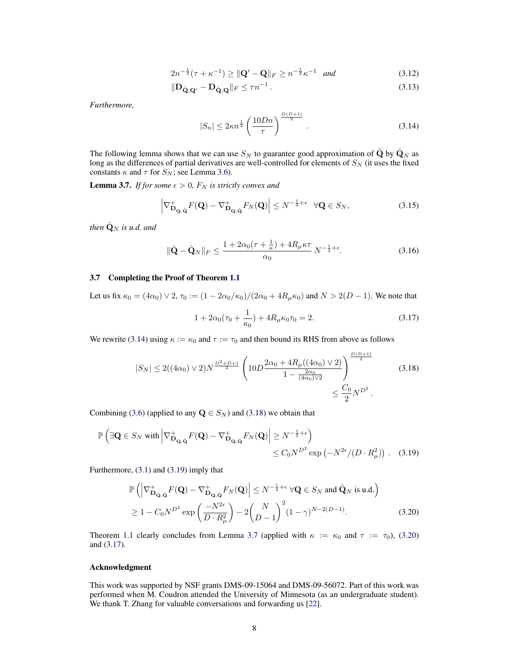$$
2n^{-\frac{1}{2}}(\tau + \kappa^{-1}) \ge ||\mathbf{Q}' - \mathbf{Q}||_F \ge n^{-\frac{1}{2}}\kappa^{-1} \quad \text{and} \tag{3.12}
$$

$$
\|\mathbf{D}_{\hat{\mathbf{Q}},\mathbf{Q}'} - \mathbf{D}_{\hat{\mathbf{Q}},\mathbf{Q}}\|_F \le \tau n^{-1}.
$$
\n(3.13)

*Furthermore,*

$$
|S_n| \le 2\kappa n^{\frac{1}{2}} \left(\frac{10Dn}{\tau}\right)^{\frac{D(D+1)}{2}}.
$$
 (3.14)

The following lemma shows that we can use  $S_N$  to guarantee good approximation of  $\hat{Q}$  by  $\hat{Q}_N$  as long as the differences of partial derivatives are well-controlled for elements of  $S_N$  (it uses the fixed constants  $\kappa$  and  $\tau$  for  $S_N$ ; see Lemma 3.6).

**Lemma 3.7.** *If for some*  $\epsilon > 0$ ,  $F_N$  *is strictly convex and* 

$$
\left|\nabla^{\perp}_{\mathbf{D}_{\mathbf{Q},\hat{\mathbf{Q}}}}F(\mathbf{Q}) - \nabla^{\perp}_{\mathbf{D}_{\mathbf{Q},\hat{\mathbf{Q}}}}F_N(\mathbf{Q})\right| \le N^{-\frac{1}{2}+\epsilon} \quad \forall \mathbf{Q} \in S_N,
$$
\n(3.15)

*then*  $\hat{\mathbf{Q}}_N$  *is u.d. and* 

$$
\|\hat{\mathbf{Q}} - \hat{\mathbf{Q}}_N\|_F \le \frac{1 + 2\alpha_0(\tau + \frac{1}{\kappa}) + 4R_\mu \kappa \tau}{\alpha_0} N^{-\frac{1}{2} + \epsilon}.
$$
 (3.16)

### 3.7 Completing the Proof of Theorem 1.1

Let us fix  $\kappa_0 = (4\alpha_0) \vee 2$ ,  $\tau_0 := (1 - 2\alpha_0/\kappa_0)/(2\alpha_0 + 4R_\mu \kappa_0)$  and  $N > 2(D - 1)$ . We note that

$$
1 + 2\alpha_0(\tau_0 + \frac{1}{\kappa_0}) + 4R_\mu \kappa_0 \tau_0 = 2. \tag{3.17}
$$

We rewrite (3.14) using  $\kappa := \kappa_0$  and  $\tau := \tau_0$  and then bound its RHS from above as follows

$$
|S_N| \le 2((4\alpha_0) \vee 2)N^{\frac{D^2 + D + 1}{2}} \left(10D \frac{2\alpha_0 + 4R_\mu((4\alpha_0) \vee 2)}{1 - \frac{2\alpha_0}{(4\alpha_0)\vee 2}}\right)^{\frac{D(D+1)}{2}} \tag{3.18}
$$

$$
\le \frac{C_0}{2} N^{D^2}.
$$

Combining (3.6) (applied to any  $\mathbf{Q} \in S_N$ ) and (3.18) we obtain that

$$
\mathbb{P}\left(\exists \mathbf{Q} \in S_N \text{ with } \left| \nabla^+_{\mathbf{D}_{\mathbf{Q},\hat{\mathbf{Q}}}} F(\mathbf{Q}) - \nabla^+_{\mathbf{D}_{\mathbf{Q},\hat{\mathbf{Q}}}} F_N(\mathbf{Q}) \right| \ge N^{-\frac{1}{2}+\epsilon}\right) \le C_0 N^{D^2} \exp\left(-N^{2\epsilon}/(D \cdot R_\mu^2)\right). \tag{3.19}
$$

Furthermore, (3.1) and (3.19) imply that

$$
\mathbb{P}\left(\left|\nabla^+_{\mathbf{D}_{\mathbf{Q},\hat{\mathbf{Q}}}}F(\mathbf{Q}) - \nabla^+_{\mathbf{D}_{\mathbf{Q},\hat{\mathbf{Q}}}}F_N(\mathbf{Q})\right| \le N^{-\frac{1}{2}+\epsilon} \forall \mathbf{Q} \in S_N \text{ and } \hat{\mathbf{Q}}_N \text{ is u.d.}\right)
$$
  
\n
$$
\ge 1 - C_0 N^{D^2} \exp\left(\frac{-N^{2\epsilon}}{D \cdot R_\mu^2}\right) - 2\binom{N}{D-1}^2 (1-\gamma)^{N-2(D-1)}.
$$
 (3.20)

Theorem 1.1 clearly concludes from Lemma 3.7 (applied with  $\kappa := \kappa_0$  and  $\tau := \tau_0$ ), (3.20) and (3.17).

#### Acknowledgment

This work was supported by NSF grants DMS-09-15064 and DMS-09-56072. Part of this work was performed when M. Coudron attended the University of Minnesota (as an undergraduate student). We thank T. Zhang for valuable conversations and forwarding us [22].